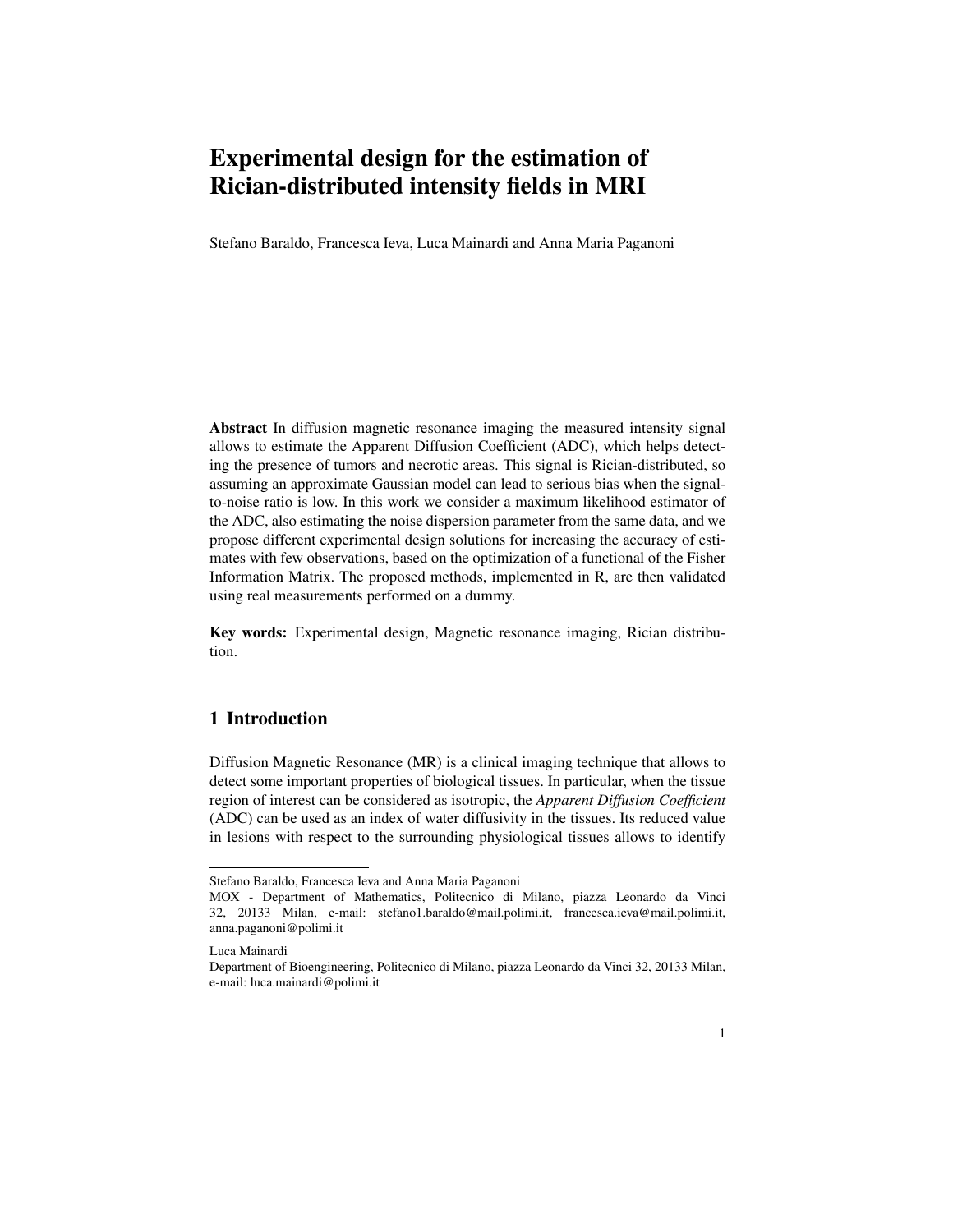# Experimental design for the estimation of Rician-distributed intensity fields in MRI

Stefano Baraldo, Francesca Ieva, Luca Mainardi and Anna Maria Paganoni

Abstract In diffusion magnetic resonance imaging the measured intensity signal allows to estimate the Apparent Diffusion Coefficient (ADC), which helps detecting the presence of tumors and necrotic areas. This signal is Rician-distributed, so assuming an approximate Gaussian model can lead to serious bias when the signalto-noise ratio is low. In this work we consider a maximum likelihood estimator of the ADC, also estimating the noise dispersion parameter from the same data, and we propose different experimental design solutions for increasing the accuracy of estimates with few observations, based on the optimization of a functional of the Fisher Information Matrix. The proposed methods, implemented in R, are then validated using real measurements performed on a dummy.

Key words: Experimental design, Magnetic resonance imaging, Rician distribution.

# 1 Introduction

Diffusion Magnetic Resonance (MR) is a clinical imaging technique that allows to detect some important properties of biological tissues. In particular, when the tissue region of interest can be considered as isotropic, the *Apparent Diffusion Coefficient* (ADC) can be used as an index of water diffusivity in the tissues. Its reduced value in lesions with respect to the surrounding physiological tissues allows to identify

Stefano Baraldo, Francesca Ieva and Anna Maria Paganoni

MOX - Department of Mathematics, Politecnico di Milano, piazza Leonardo da Vinci 32, 20133 Milan, e-mail: stefano1.baraldo@mail.polimi.it, francesca.ieva@mail.polimi.it, anna.paganoni@polimi.it

Luca Mainardi

Department of Bioengineering, Politecnico di Milano, piazza Leonardo da Vinci 32, 20133 Milan, e-mail: luca.mainardi@polimi.it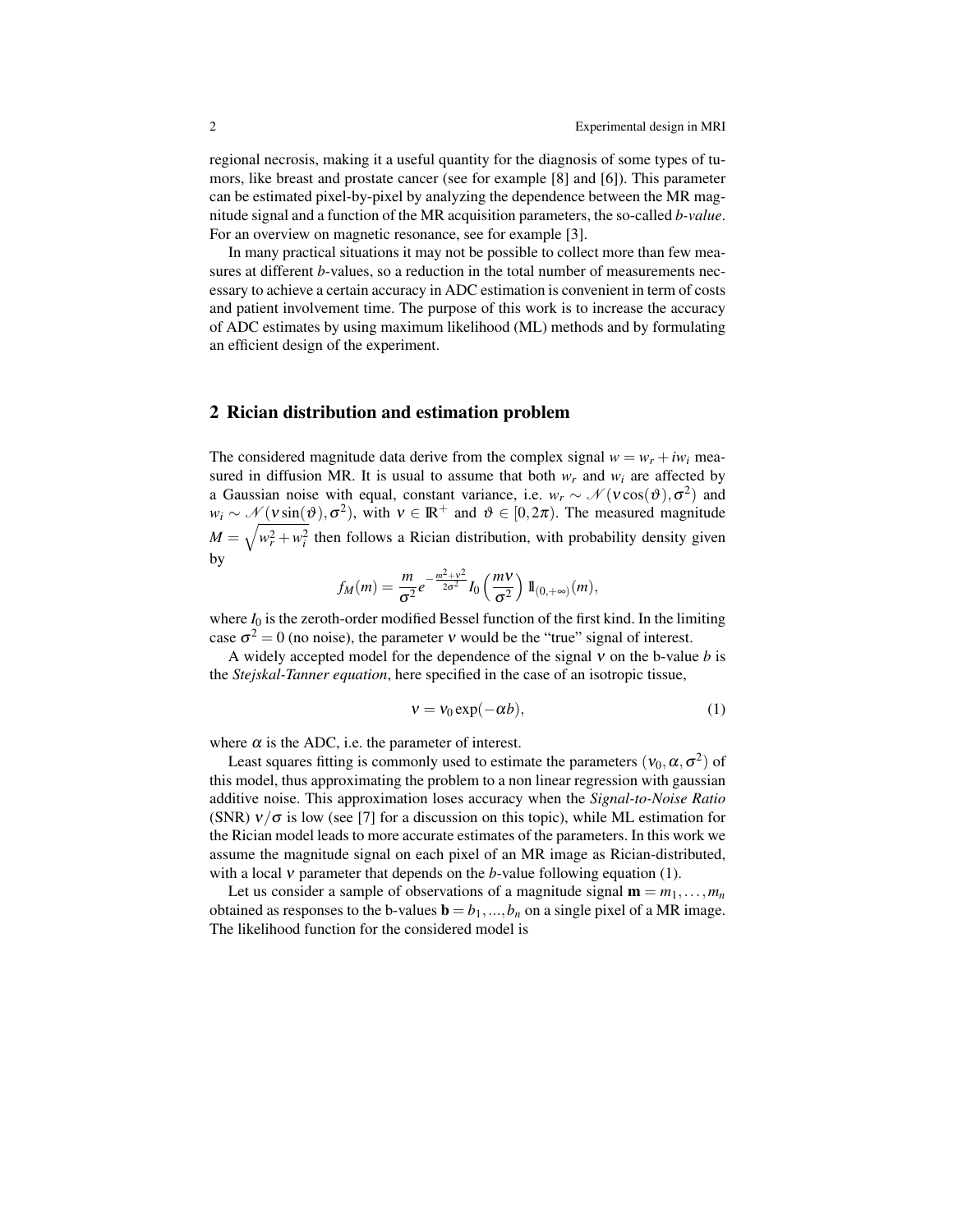regional necrosis, making it a useful quantity for the diagnosis of some types of tumors, like breast and prostate cancer (see for example [8] and [6]). This parameter can be estimated pixel-by-pixel by analyzing the dependence between the MR magnitude signal and a function of the MR acquisition parameters, the so-called *b-value*. For an overview on magnetic resonance, see for example [3].

In many practical situations it may not be possible to collect more than few measures at different *b*-values, so a reduction in the total number of measurements necessary to achieve a certain accuracy in ADC estimation is convenient in term of costs and patient involvement time. The purpose of this work is to increase the accuracy of ADC estimates by using maximum likelihood (ML) methods and by formulating an efficient design of the experiment.

#### 2 Rician distribution and estimation problem

The considered magnitude data derive from the complex signal  $w = w_r + i w_i$  measured in diffusion MR. It is usual to assume that both  $w_r$  and  $w_i$  are affected by a Gaussian noise with equal, constant variance, i.e.  $w_r \sim \mathcal{N}(v \cos(\theta), \sigma^2)$  and  $w_i \sim \mathcal{N}(v \sin(\vartheta), \sigma^2)$ , with  $v \in \mathbb{R}^+$  and  $\vartheta \in [0, 2\pi)$ . The measured magnitude  $M = \sqrt{w_r^2 + w_i^2}$  then follows a Rician distribution, with probability density given by

$$
f_M(m) = \frac{m}{\sigma^2} e^{-\frac{m^2 + v^2}{2\sigma^2}} I_0\left(\frac{mV}{\sigma^2}\right) 1\!\!1_{(0, +\infty)}(m),
$$

where  $I_0$  is the zeroth-order modified Bessel function of the first kind. In the limiting case  $\sigma^2 = 0$  (no noise), the parameter v would be the "true" signal of interest.

A widely accepted model for the dependence of the signal ν on the b-value *b* is the *Stejskal-Tanner equation*, here specified in the case of an isotropic tissue,

$$
v = v_0 \exp(-\alpha b), \tag{1}
$$

where  $\alpha$  is the ADC, i.e. the parameter of interest.

Least squares fitting is commonly used to estimate the parameters  $(v_0, \alpha, \sigma^2)$  of this model, thus approximating the problem to a non linear regression with gaussian additive noise. This approximation loses accuracy when the *Signal-to-Noise Ratio* (SNR)  $v/\sigma$  is low (see [7] for a discussion on this topic), while ML estimation for the Rician model leads to more accurate estimates of the parameters. In this work we assume the magnitude signal on each pixel of an MR image as Rician-distributed, with a local ν parameter that depends on the *b*-value following equation (1).

Let us consider a sample of observations of a magnitude signal  $\mathbf{m} = m_1, \ldots, m_n$ obtained as responses to the b-values  $\mathbf{b} = b_1, ..., b_n$  on a single pixel of a MR image. The likelihood function for the considered model is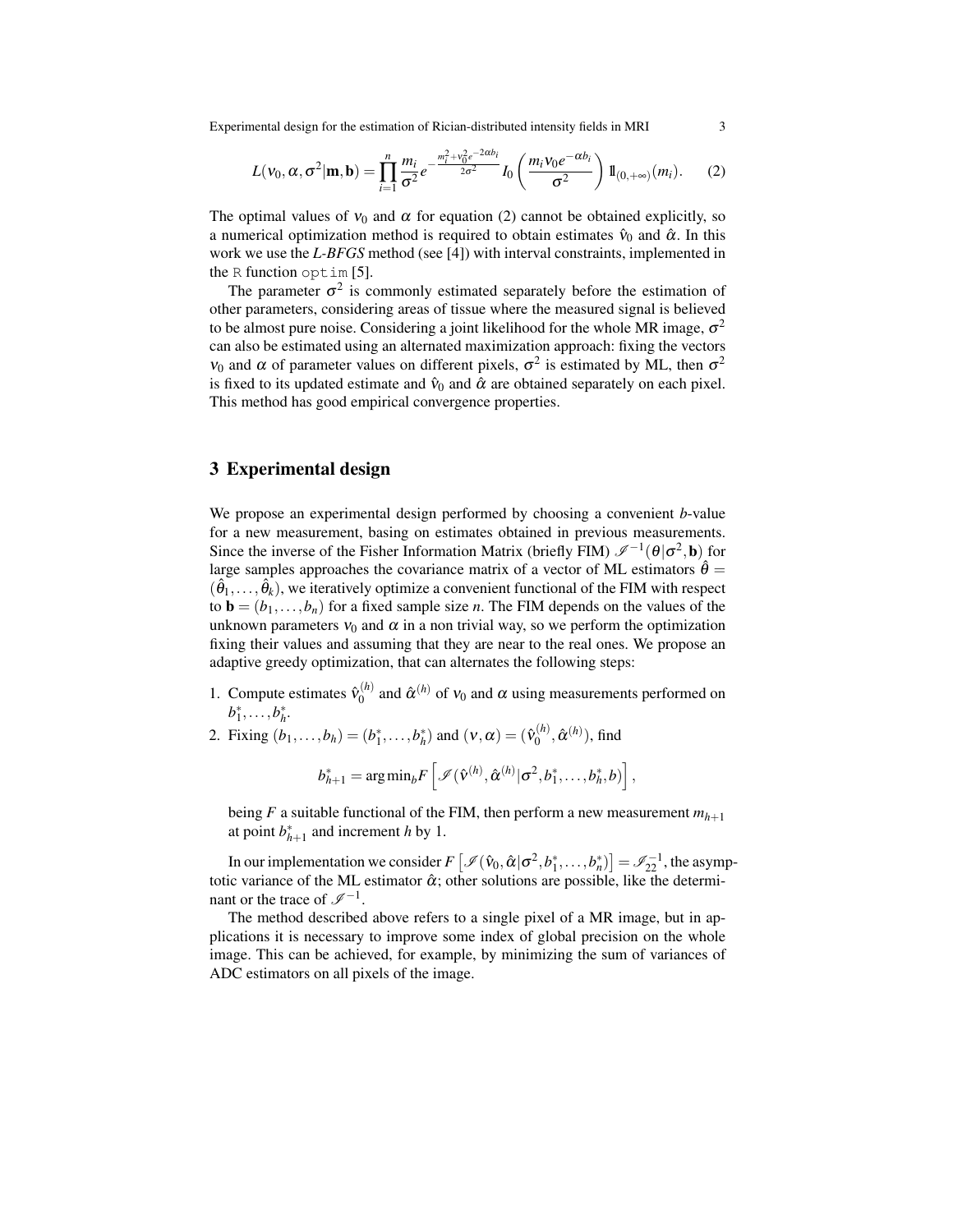Experimental design for the estimation of Rician-distributed intensity fields in MRI 3

$$
L(\mathbf{v}_0, \alpha, \sigma^2 | \mathbf{m}, \mathbf{b}) = \prod_{i=1}^n \frac{m_i}{\sigma^2} e^{-\frac{m_i^2 + v_0^2 e^{-2\alpha b_i}}{2\sigma^2}} I_0 \left( \frac{m_i v_0 e^{-\alpha b_i}}{\sigma^2} \right) 1\!\!1_{(0, +\infty)}(m_i). \tag{2}
$$

The optimal values of  $v_0$  and  $\alpha$  for equation (2) cannot be obtained explicitly, so a numerical optimization method is required to obtain estimates  $\hat{v}_0$  and  $\hat{\alpha}$ . In this work we use the *L-BFGS* method (see [4]) with interval constraints, implemented in the R function optim [5].

The parameter  $\sigma^2$  is commonly estimated separately before the estimation of other parameters, considering areas of tissue where the measured signal is believed to be almost pure noise. Considering a joint likelihood for the whole MR image,  $\sigma^2$ can also be estimated using an alternated maximization approach: fixing the vectors  $v_0$  and  $\alpha$  of parameter values on different pixels,  $\sigma^2$  is estimated by ML, then  $\sigma^2$ is fixed to its updated estimate and  $\hat{v}_0$  and  $\hat{\alpha}$  are obtained separately on each pixel. This method has good empirical convergence properties.

# 3 Experimental design

We propose an experimental design performed by choosing a convenient *b*-value for a new measurement, basing on estimates obtained in previous measurements. Since the inverse of the Fisher Information Matrix (briefly FIM)  $\mathscr{I}^{-1}(\theta | \sigma^2, \mathbf{b})$  for large samples approaches the covariance matrix of a vector of ML estimators  $\hat{\theta} =$  $(\hat{\theta}_1,\ldots,\hat{\theta}_k)$ , we iteratively optimize a convenient functional of the FIM with respect to  $\mathbf{b} = (b_1, \ldots, b_n)$  for a fixed sample size *n*. The FIM depends on the values of the unknown parameters  $v_0$  and  $\alpha$  in a non trivial way, so we perform the optimization fixing their values and assuming that they are near to the real ones. We propose an adaptive greedy optimization, that can alternates the following steps:

- 1. Compute estimates  $\hat{v}_0^{(h)}$  $\hat{\alpha}^{(h)}$  and  $\hat{\alpha}^{(h)}$  of  $v_0$  and  $\alpha$  using measurements performed on  $b_1^*, \ldots, b_h^*$ .
- 2. Fixing  $(b_1,...,b_h) = (b_1^*,...,b_h^*)$  and  $(v, \alpha) = (\hat{v}_0^{(h)})$  $\hat{\alpha}^{(h)}, \hat{\alpha}^{(h)}$ ), find

$$
b_{h+1}^* = \arg\min_b F\left[\mathcal{I}(\hat{\mathbf{v}}^{(h)}, \hat{\boldsymbol{\alpha}}^{(h)} | \sigma^2, b_1^*, \ldots, b_h^*, b)\right],
$$

being *F* a suitable functional of the FIM, then perform a new measurement  $m_{h+1}$ at point  $b_{h+1}^*$  and increment *h* by 1.

In our implementation we consider  $F\left[\mathcal{I}(\hat{v}_0, \hat{\alpha} | \sigma^2, b_1^*, \dots, b_n^*)\right] = \mathcal{I}_{22}^{-1}$ , the asymptotic variance of the ML estimator  $\hat{\alpha}$ ; other solutions are possible, like the determinant or the trace of  $\mathscr{I}^{-1}$ .

The method described above refers to a single pixel of a MR image, but in applications it is necessary to improve some index of global precision on the whole image. This can be achieved, for example, by minimizing the sum of variances of ADC estimators on all pixels of the image.